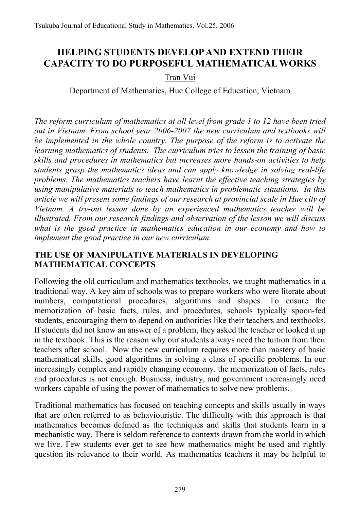# **HELPING STUDENTS DEVELOP AND EXTEND THEIR CAPACITY TO DO PURPOSEFUL MATHEMATICAL WORKS**

## Tran Vui

Department of Mathematics, Hue College of Education, Vietnam

*The reform curriculum of mathematics at all level from grade 1 to 12 have been tried out in Vietnam. From school year 2006-2007 the new curriculum and textbooks will be implemented in the whole country. The purpose of the reform is to activate the learning mathematics of students. The curriculum tries to lessen the training of basic skills and procedures in mathematics but increases more hands-on activities to help students grasp the mathematics ideas and can apply knowledge in solving real-life problems. The mathematics teachers have learnt the effective teaching strategies by using manipulative materials to teach mathematics in problematic situations. In this article we will present some findings of our research at provincial scale in Hue city of Vietnam. A try-out lesson done by an experienced mathematics teacher will be illustrated. From our research findings and observation of the lesson we will discuss what is the good practice in mathematics education in our economy and how to implement the good practice in our new curriculum.* 

## **THE USE OF MANIPULATIVE MATERIALS IN DEVELOPING MATHEMATICAL CONCEPTS**

Following the old curriculum and mathematics textbooks, we taught mathematics in a traditional way. A key aim of schools was to prepare workers who were literate about numbers, computational procedures, algorithms and shapes. To ensure the memorization of basic facts, rules, and procedures, schools typically spoon-fed students, encouraging them to depend on authorities like their teachers and textbooks. If students did not know an answer of a problem, they asked the teacher or looked it up in the textbook. This is the reason why our students always need the tuition from their teachers after school. Now the new curriculum requires more than mastery of basic mathematical skills, good algorithms in solving a class of specific problems. In our increasingly complex and rapidly changing economy, the memorization of facts, rules and procedures is not enough. Business, industry, and government increasingly need workers capable of using the power of mathematics to solve new problems.

Traditional mathematics has focused on teaching concepts and skills usually in ways that are often referred to as behaviouristic. The difficulty with this approach is that mathematics becomes defined as the techniques and skills that students learn in a mechanistic way. There is seldom reference to contexts drawn from the world in which we live. Few students ever get to see how mathematics might be used and rightly question its relevance to their world. As mathematics teachers it may be helpful to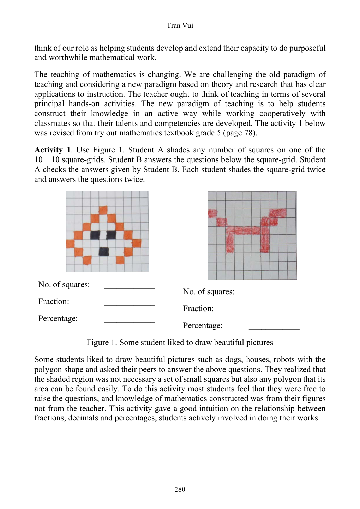think of our role as helping students develop and extend their capacity to do purposeful and worthwhile mathematical work.

The teaching of mathematics is changing. We are challenging the old paradigm of teaching and considering a new paradigm based on theory and research that has clear applications to instruction. The teacher ought to think of teaching in terms of several principal hands-on activities. The new paradigm of teaching is to help students construct their knowledge in an active way while working cooperatively with classmates so that their talents and competencies are developed. The activity 1 below was revised from try out mathematics textbook grade 5 (page 78).

**Activity 1**. Use Figure 1. Student A shades any number of squares on one of the 10 10 square-grids. Student B answers the questions below the square-grid. Student A checks the answers given by Student B. Each student shades the square-grid twice and answers the questions twice.

| No. of squares: |                 |  |  |
|-----------------|-----------------|--|--|
| Fraction:       | No. of squares: |  |  |
|                 | Fraction:       |  |  |
| Percentage:     | Percentage:     |  |  |

Figure 1. Some student liked to draw beautiful pictures

Some students liked to draw beautiful pictures such as dogs, houses, robots with the polygon shape and asked their peers to answer the above questions. They realized that the shaded region was not necessary a set of small squares but also any polygon that its area can be found easily. To do this activity most students feel that they were free to raise the questions, and knowledge of mathematics constructed was from their figures not from the teacher. This activity gave a good intuition on the relationship between fractions, decimals and percentages, students actively involved in doing their works.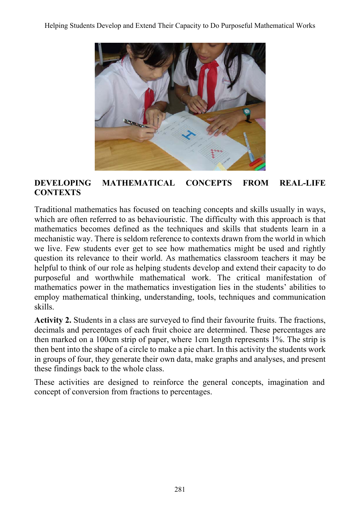

## **DEVELOPING MATHEMATICAL CONCEPTS FROM REAL-LIFE CONTEXTS**

Traditional mathematics has focused on teaching concepts and skills usually in ways, which are often referred to as behaviouristic. The difficulty with this approach is that mathematics becomes defined as the techniques and skills that students learn in a mechanistic way. There is seldom reference to contexts drawn from the world in which we live. Few students ever get to see how mathematics might be used and rightly question its relevance to their world. As mathematics classroom teachers it may be helpful to think of our role as helping students develop and extend their capacity to do purposeful and worthwhile mathematical work. The critical manifestation of mathematics power in the mathematics investigation lies in the students' abilities to employ mathematical thinking, understanding, tools, techniques and communication skills.

**Activity 2.** Students in a class are surveyed to find their favourite fruits. The fractions, decimals and percentages of each fruit choice are determined. These percentages are then marked on a 100cm strip of paper, where 1cm length represents 1%. The strip is then bent into the shape of a circle to make a pie chart. In this activity the students work in groups of four, they generate their own data, make graphs and analyses, and present these findings back to the whole class.

These activities are designed to reinforce the general concepts, imagination and concept of conversion from fractions to percentages.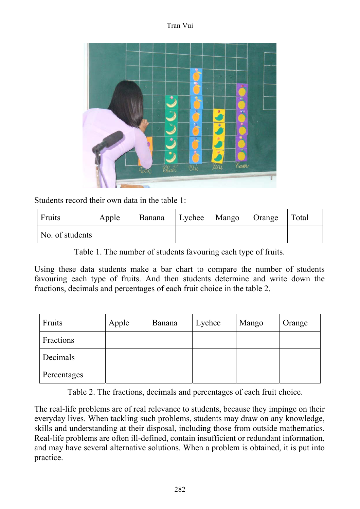Tran Vui



Students record their own data in the table 1:

| Fruits          | Apple | Banana | Lychee   Mango   Orange | Total |
|-----------------|-------|--------|-------------------------|-------|
| No. of students |       |        |                         |       |

Table 1. The number of students favouring each type of fruits.

Using these data students make a bar chart to compare the number of students favouring each type of fruits. And then students determine and write down the fractions, decimals and percentages of each fruit choice in the table 2.

| Fruits      | Apple | Banana | Lychee | Mango | Orange |
|-------------|-------|--------|--------|-------|--------|
| Fractions   |       |        |        |       |        |
| Decimals    |       |        |        |       |        |
| Percentages |       |        |        |       |        |

Table 2. The fractions, decimals and percentages of each fruit choice.

The real-life problems are of real relevance to students, because they impinge on their everyday lives. When tackling such problems, students may draw on any knowledge, skills and understanding at their disposal, including those from outside mathematics. Real-life problems are often ill-defined, contain insufficient or redundant information, and may have several alternative solutions. When a problem is obtained, it is put into practice.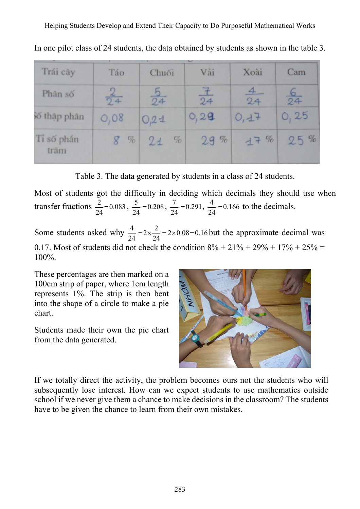| Trái cây           | Táo            | Chuối        | Vải     | Xoài         | Cam          |
|--------------------|----------------|--------------|---------|--------------|--------------|
| Phân số            | $\frac{2}{24}$ | $rac{b}{24}$ | 土<br>24 | $rac{4}{24}$ | $rac{6}{24}$ |
| šố thập phân       | O,08           | 0.21         | O, 29   | 0,17         | O, 25        |
| Ti số phân<br>trām | $8\%$          | %<br>21      | 29%     | 17 %         | 25%          |

In one pilot class of 24 students, the data obtained by students as shown in the table 3.

Table 3. The data generated by students in a class of 24 students.

Most of students got the difficulty in deciding which decimals they should use when transfer fractions  $\frac{2}{24} = 0.083$ ,  $\frac{5}{24} = 0.208$ ,  $\frac{7}{24} = 0.291$ ,  $\frac{4}{24} = 0.166$  to the decimals.

Some students asked why  $\frac{4}{24} = 2 \times \frac{2}{24} = 2 \times 0.08 = 0.16$ 24 24  $=2\times\frac{2}{\gamma}=2\times0.08=0.16$  but the approximate decimal was 0.17. Most of students did not check the condition  $8\% + 21\% + 29\% + 17\% + 25\% =$ 100%.

These percentages are then marked on a 100cm strip of paper, where 1cm length represents 1%. The strip is then bent into the shape of a circle to make a pie chart.

Students made their own the pie chart from the data generated.



If we totally direct the activity, the problem becomes ours not the students who will subsequently lose interest. How can we expect students to use mathematics outside school if we never give them a chance to make decisions in the classroom? The students have to be given the chance to learn from their own mistakes.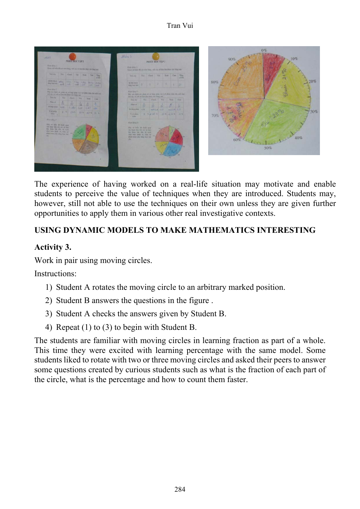| Hirsch Blond Jr.<br>Quan air balls all cit title blarg, vidt cic all litte the days van bing use.                                                                                                                                                                                                                                       |  |                         |  |            |  |
|-----------------------------------------------------------------------------------------------------------------------------------------------------------------------------------------------------------------------------------------------------------------------------------------------------------------------------------------|--|-------------------------|--|------------|--|
| Trainly The Class Via New Case They                                                                                                                                                                                                                                                                                                     |  |                         |  | <b>MIS</b> |  |
| $\frac{M\left(H\right)_{\text{max}}}{\text{length of the case}}\begin{bmatrix} 1 & 1 & 1 \\ 0 & -1 & 1 \\ 0 & -1 & 1 \end{bmatrix}\begin{bmatrix} 1 & 1 & 1 \\ 0 & -1 & 1 \\ 0 & 0 & 1 \end{bmatrix}\begin{bmatrix} 1 & 1 & 1 \\ 0 & 1 & 1 \\ 0 & 0 & 1 \end{bmatrix}\begin{bmatrix} 1 & 1 & 1 \\ 0 & 1 & 1 \\ 0 & 0 & 1 \end{bmatrix}$ |  |                         |  |            |  |
| Hook Abia 2.<br>10ty ade Audi city plant all, so thay plan vi it at plan when the rail low-<br>millions on one an hite the date carefulny can                                                                                                                                                                                           |  |                         |  |            |  |
| THEFT                                                                                                                                                                                                                                                                                                                                   |  | The Class Vit Xets Catt |  |            |  |
| <b>Plate and</b><br><b>STATISTICS</b>                                                                                                                                                                                                                                                                                                   |  |                         |  |            |  |
| wayne ask 0,554 ass are as                                                                                                                                                                                                                                                                                                              |  |                         |  |            |  |
| Harpton ( 8 p.279 23 8 41 5 36 6<br>$\Delta\Delta\omega_{\rm{eff}}=0.7$                                                                                                                                                                                                                                                                 |  |                         |  |            |  |
| Hoat Aleg 3<br>itter of hide di high qua-<br>has had been on you at hew.<br>the Asia his life to valv.<br>this trip life, of On an<br>phase mass who may live and<br>m                                                                                                                                                                  |  |                         |  |            |  |

The experience of having worked on a real-life situation may motivate and enable students to perceive the value of techniques when they are introduced. Students may, however, still not able to use the techniques on their own unless they are given further opportunities to apply them in various other real investigative contexts.

## **USING DYNAMIC MODELS TO MAKE MATHEMATICS INTERESTING**

## **Activity 3.**

Work in pair using moving circles.

Instructions:

- 1) Student A rotates the moving circle to an arbitrary marked position.
- 2) Student B answers the questions in the figure .
- 3) Student A checks the answers given by Student B.
- 4) Repeat (1) to (3) to begin with Student B.

The students are familiar with moving circles in learning fraction as part of a whole. This time they were excited with learning percentage with the same model. Some students liked to rotate with two or three moving circles and asked their peers to answer some questions created by curious students such as what is the fraction of each part of the circle, what is the percentage and how to count them faster.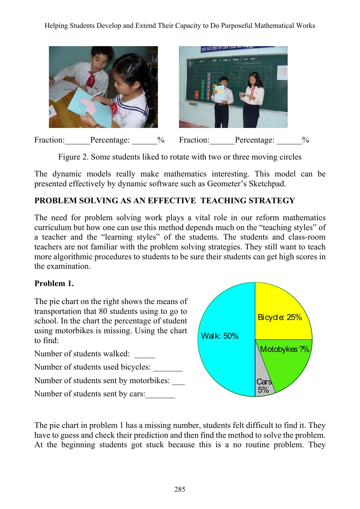Helping Students Develop and Extend Their Capacity to Do Purposeful Mathematical Works



Figure 2. Some students liked to rotate with two or three moving circles

The dynamic models really make mathematics interesting. This model can be presented effectively by dynamic software such as Geometer's Sketchpad.

## **PROBLEM SOLVING AS AN EFFECTIVE TEACHING STRATEGY**

The need for problem solving work plays a vital role in our reform mathematics curriculum but how one can use this method depends much on the "teaching styles" of a teacher and the "learning styles" of the students. The students and class-room teachers are not familiar with the problem solving strategies. They still want to teach more algorithmic procedures to students to be sure their students can get high scores in the examination.

## **Problem 1.**

The pie chart on the right shows the means of transportation that 80 students using to go to school. In the chart the percentage of student using motorbikes is missing. Using the chart to find:

Number of students walked: Number of students used bicycles: Number of students sent by motorbikes: Walk: 50% Cars Motobykes ?% Bicycle: 25% 5%

Number of students sent by cars:

The pie chart in problem 1 has a missing number, students felt difficult to find it. They have to guess and check their prediction and then find the method to solve the problem. At the beginning students got stuck because this is a no routine problem. They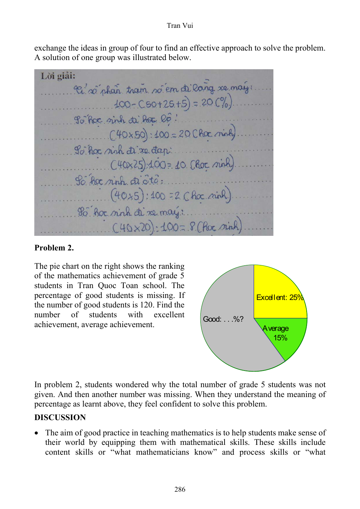#### Tran Vui

exchange the ideas in group of four to find an effective approach to solve the problem. A solution of one group was illustrated below.

Lời giải: Ri soi phan tram soiem di lang re maig:  $100 - C50 + 25 + 5 = 20 (%)$ Po hoc sinh di hoc lo!  $(40x50): 400 = 200$  har ninh So her sinh di xe dap ...... (40x25):100= 10 (Roc ninh) So her rinh di oto : (40+5): 100 = 2 Choc ninh 80 hor sinh di re may :...... C40×20):100=8 CRoc. sinh  $\begin{array}{c} \hline \end{array}$ 

## **Problem 2.**

The pie chart on the right shows the ranking of the mathematics achievement of grade 5 students in Tran Quoc Toan school. The percentage of good students is missing. If the number of good students is 120. Find the number of students with excellent number of students with excellent Good: . . .%?<br>achievement, average achievement.



In problem 2, students wondered why the total number of grade 5 students was not given. And then another number was missing. When they understand the meaning of percentage as learnt above, they feel confident to solve this problem.

## **DISCUSSION**

The aim of good practice in teaching mathematics is to help students make sense of their world by equipping them with mathematical skills. These skills include content skills or "what mathematicians know" and process skills or "what